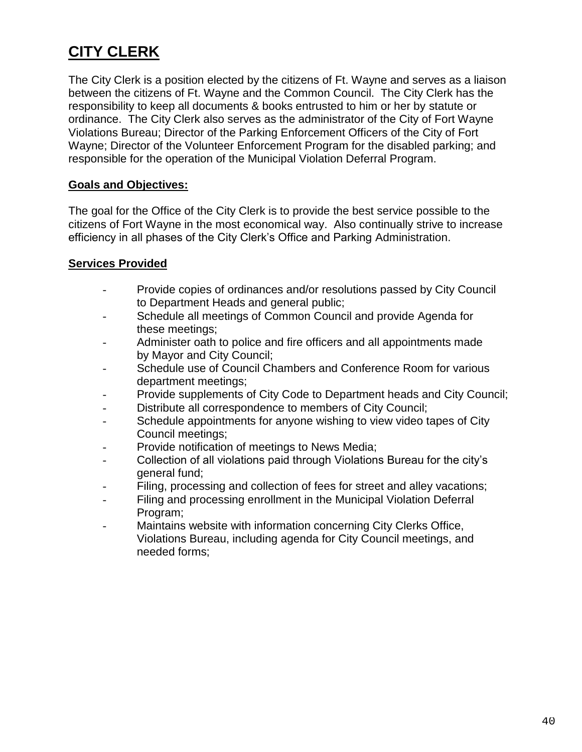## **CITY CLERK**

The City Clerk is a position elected by the citizens of Ft. Wayne and serves as a liaison between the citizens of Ft. Wayne and the Common Council. The City Clerk has the responsibility to keep all documents & books entrusted to him or her by statute or ordinance. The City Clerk also serves as the administrator of the City of Fort Wayne Violations Bureau; Director of the Parking Enforcement Officers of the City of Fort Wayne; Director of the Volunteer Enforcement Program for the disabled parking; and responsible for the operation of the Municipal Violation Deferral Program.

## **Goals and Objectives:**

The goal for the Office of the City Clerk is to provide the best service possible to the citizens of Fort Wayne in the most economical way. Also continually strive to increase efficiency in all phases of the City Clerk's Office and Parking Administration.

## **Services Provided**

- Provide copies of ordinances and/or resolutions passed by City Council to Department Heads and general public;
- Schedule all meetings of Common Council and provide Agenda for these meetings;
- Administer oath to police and fire officers and all appointments made by Mayor and City Council;
- Schedule use of Council Chambers and Conference Room for various department meetings;
- Provide supplements of City Code to Department heads and City Council;
- Distribute all correspondence to members of City Council;
- Schedule appointments for anyone wishing to view video tapes of City Council meetings;
- Provide notification of meetings to News Media;
- Collection of all violations paid through Violations Bureau for the city's general fund;
- Filing, processing and collection of fees for street and alley vacations;
- Filing and processing enrollment in the Municipal Violation Deferral Program;
- Maintains website with information concerning City Clerks Office, Violations Bureau, including agenda for City Council meetings, and needed forms;